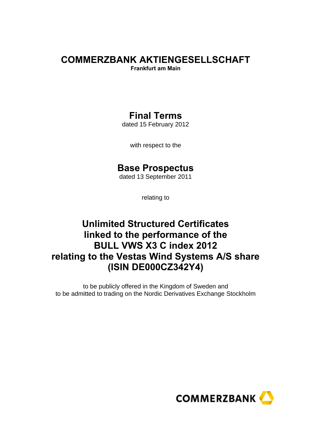# **COMMERZBANK AKTIENGESELLSCHAFT**

**Frankfurt am Main** 

## **Final Terms**

dated 15 February 2012

with respect to the

## **Base Prospectus**

dated 13 September 2011

relating to

## **Unlimited Structured Certificates linked to the performance of the BULL VWS X3 C index 2012 relating to the Vestas Wind Systems A/S share (ISIN DE000CZ342Y4)**

to be publicly offered in the Kingdom of Sweden and to be admitted to trading on the Nordic Derivatives Exchange Stockholm

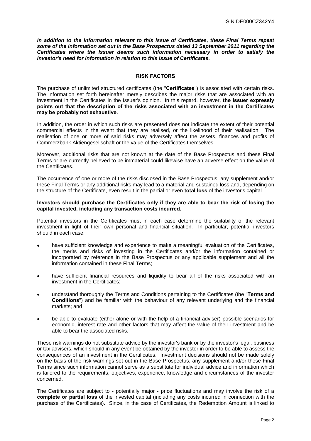*In addition to the information relevant to this issue of Certificates, these Final Terms repeat some of the information set out in the Base Prospectus dated 13 September 2011 regarding the Certificates where the Issuer deems such information necessary in order to satisfy the investor's need for information in relation to this issue of Certificates.*

## **RISK FACTORS**

The purchase of unlimited structured certificates (the "**Certificates**") is associated with certain risks. The information set forth hereinafter merely describes the major risks that are associated with an investment in the Certificates in the Issuer's opinion. In this regard, however, **the Issuer expressly points out that the description of the risks associated with an investment in the Certificates may be probably not exhaustive**.

In addition, the order in which such risks are presented does not indicate the extent of their potential commercial effects in the event that they are realised, or the likelihood of their realisation. The realisation of one or more of said risks may adversely affect the assets, finances and profits of Commerzbank Aktiengesellschaft or the value of the Certificates themselves.

Moreover, additional risks that are not known at the date of the Base Prospectus and these Final Terms or are currently believed to be immaterial could likewise have an adverse effect on the value of the Certificates.

The occurrence of one or more of the risks disclosed in the Base Prospectus, any supplement and/or these Final Terms or any additional risks may lead to a material and sustained loss and, depending on the structure of the Certificate, even result in the partial or even **total loss** of the investor's capital.

#### **Investors should purchase the Certificates only if they are able to bear the risk of losing the capital invested, including any transaction costs incurred.**

Potential investors in the Certificates must in each case determine the suitability of the relevant investment in light of their own personal and financial situation. In particular, potential investors should in each case:

- have sufficient knowledge and experience to make a meaningful evaluation of the Certificates, the merits and risks of investing in the Certificates and/or the information contained or incorporated by reference in the Base Prospectus or any applicable supplement and all the information contained in these Final Terms;
- have sufficient financial resources and liquidity to bear all of the risks associated with an investment in the Certificates;
- understand thoroughly the Terms and Conditions pertaining to the Certificates (the "**Terms and Conditions**") and be familiar with the behaviour of any relevant underlying and the financial markets; and
- be able to evaluate (either alone or with the help of a financial adviser) possible scenarios for economic, interest rate and other factors that may affect the value of their investment and be able to bear the associated risks.

These risk warnings do not substitute advice by the investor's bank or by the investor's legal, business or tax advisers, which should in any event be obtained by the investor in order to be able to assess the consequences of an investment in the Certificates. Investment decisions should not be made solely on the basis of the risk warnings set out in the Base Prospectus, any supplement and/or these Final Terms since such information cannot serve as a substitute for individual advice and information which is tailored to the requirements, objectives, experience, knowledge and circumstances of the investor concerned.

The Certificates are subject to - potentially major - price fluctuations and may involve the risk of a **complete or partial loss** of the invested capital (including any costs incurred in connection with the purchase of the Certificates). Since, in the case of Certificates, the Redemption Amount is linked to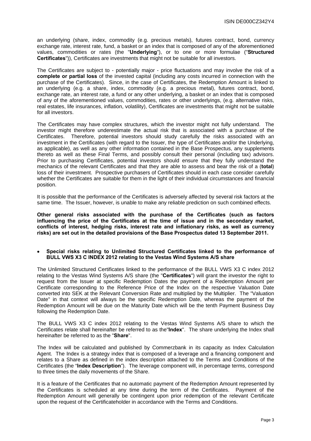an underlying (share, index, commodity (e.g. precious metals), futures contract, bond, currency exchange rate, interest rate, fund, a basket or an index that is composed of any of the aforementioned values, commodities or rates (the "**Underlying**"), or to one or more formulae ("**Structured Certificates**")), Certificates are investments that might not be suitable for all investors.

The Certificates are subject to - potentially major - price fluctuations and may involve the risk of a **complete or partial loss** of the invested capital (including any costs incurred in connection with the purchase of the Certificates). Since, in the case of Certificates, the Redemption Amount is linked to an underlying (e.g. a share, index, commodity (e.g. a precious metal), futures contract, bond, exchange rate, an interest rate, a fund or any other underlying, a basket or an index that is composed of any of the aforementioned values, commodities, rates or other underlyings, (e.g. alternative risks, real estates, life insurances, inflation, volatility), Certificates are investments that might not be suitable for all investors.

The Certificates may have complex structures, which the investor might not fully understand. The investor might therefore underestimate the actual risk that is associated with a purchase of the Certificates. Therefore, potential investors should study carefully the risks associated with an investment in the Certificates (with regard to the Issuer, the type of Certificates and/or the Underlying, as applicable), as well as any other information contained in the Base Prospectus, any supplements thereto as well as these Final Terms, and possibly consult their personal (including tax) advisors. Prior to purchasing Certificates, potential investors should ensure that they fully understand the mechanics of the relevant Certificates and that they are able to assess and bear the risk of a (**total**) loss of their investment. Prospective purchasers of Certificates should in each case consider carefully whether the Certificates are suitable for them in the light of their individual circumstances and financial position.

It is possible that the performance of the Certificates is adversely affected by several risk factors at the same time. The Issuer, however, is unable to make any reliable prediction on such combined effects.

**Other general risks associated with the purchase of the Certificates (such as factors influencing the price of the Certificates at the time of issue and in the secondary market, conflicts of interest, hedging risks, interest rate and inflationary risks, as well as currency risks) are set out in the detailed provisions of the Base Prospectus dated 13 September 2011.** 

## • **Special risks relating to Unlimited Structured Certificates linked to the performance of BULL VWS X3 C INDEX 2012 relating to the Vestas Wind Systems A/S share**

The Unlimited Structured Certificates linked to the performance of the BULL VWS X3 C index 2012 relating to the Vestas Wind Systems A/S share (the "**Certificates**") will grant the investor the right to request from the Issuer at specific Redemption Dates the payment of a Redemption Amount per Certificate corresponding to the Reference Price of the Index on the respective Valuation Date converted into SEK at the Relevant Conversion Rate and multiplied by the Multiplier. The "Valuation Date" in that context will always be the specific Redemption Date, whereas the payment of the Redemption Amount will be due on the Maturity Date which will be the tenth Payment Business Day following the Redemption Date.

The BULL VWS X3 C index 2012 relating to the Vestas Wind Systems A/S share to which the Certificates relate shall hereinafter be referred to as the"**Index**". The share underlying the Index shall hereinafter be referred to as the "**Share**".

The Index will be calculated and published by Commerzbank in its capacity as Index Calculation Agent. The Index is a strategy index that is composed of a leverage and a financing component and relates to a Share as defined in the index description attached to the Terms and Conditions of the Certificates (the "**Index Description**"). The leverage component will, in percentage terms, correspond to three times the daily movements of the Share.

It is a feature of the Certificates that no automatic payment of the Redemption Amount represented by the Certificates is scheduled at any time during the term of the Certificates. Payment of the Redemption Amount will generally be contingent upon prior redemption of the relevant Certificate upon the request of the Certificateholder in accordance with the Terms and Conditions.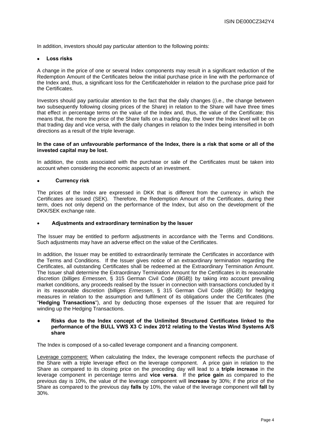In addition, investors should pay particular attention to the following points:

#### • **Loss risks**

A change in the price of one or several Index components may result in a significant reduction of the Redemption Amount of the Certificates below the initial purchase price in line with the performance of the Index and, thus, a significant loss for the Certificateholder in relation to the purchase price paid for the Certificates.

Investors should pay particular attention to the fact that the daily changes ((i.e., the change between two subsequently following closing prices of the Share) in relation to the Share will have three times that effect in percentage terms on the value of the Index and, thus, the value of the Certificate; this means that, the more the price of the Share falls on a trading day, the lower the Index level will be on that trading day and vice versa, with the daily changes in relation to the Index being intensified in both directions as a result of the triple leverage.

#### **In the case of an unfavourable performance of the Index, there is a risk that some or all of the invested capital may be lost.**

In addition, the costs associated with the purchase or sale of the Certificates must be taken into account when considering the economic aspects of an investment.

#### • **Currency risk**

The prices of the Index are expressed in DKK that is different from the currency in which the Certificates are issued (SEK). Therefore, the Redemption Amount of the Certificates, during their term, does not only depend on the performance of the Index, but also on the development of the DKK/SEK exchange rate.

## • **Adjustments and extraordinary termination by the Issuer**

The Issuer may be entitled to perform adjustments in accordance with the Terms and Conditions. Such adjustments may have an adverse effect on the value of the Certificates.

In addition, the Issuer may be entitled to extraordinarily terminate the Certificates in accordance with the Terms and Conditions. If the Issuer gives notice of an extraordinary termination regarding the Certificates, all outstanding Certificates shall be redeemed at the Extraordinary Termination Amount. The Issuer shall determine the Extraordinary Termination Amount for the Certificates in its reasonable discretion (*billiges Ermessen*, § 315 German Civil Code (*BGB*)) by taking into account prevailing market conditions, any proceeds realised by the Issuer in connection with transactions concluded by it in its reasonable discretion (*billiges Ermessen*, § 315 German Civil Code (*BGB*)) for hedging measures in relation to the assumption and fulfilment of its obligations under the Certificates (the "**Hedging Transactions**"), and by deducting those expenses of the Issuer that are required for winding up the Hedging Transactions.

#### **● Risks due to the Index concept of the Unlimited Structured Certificates linked to the performance of the BULL VWS X3 C index 2012 relating to the Vestas Wind Systems A/S share**

The Index is composed of a so-called leverage component and a financing component.

Leverage component: When calculating the Index, the leverage component reflects the purchase of the Share with a triple leverage effect on the leverage component. A price gain in relation to the Share as compared to its closing price on the preceding day will lead to a **triple increase** in the leverage component in percentage terms and **vice versa**. If the **price gain** as compared to the previous day is 10%, the value of the leverage component will **increase** by 30%; if the price of the Share as compared to the previous day **falls** by 10%, the value of the leverage component will **fall** by 30%.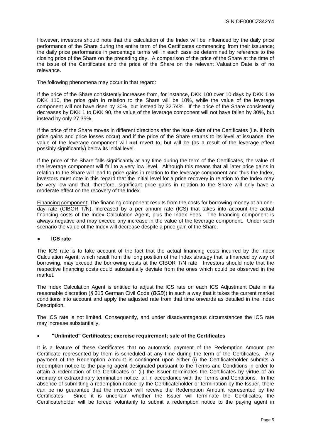However, investors should note that the calculation of the Index will be influenced by the daily price performance of the Share during the entire term of the Certificates commencing from their issuance; the daily price performance in percentage terms will in each case be determined by reference to the closing price of the Share on the preceding day. A comparison of the price of the Share at the time of the issue of the Certificates and the price of the Share on the relevant Valuation Date is of no relevance.

The following phenomena may occur in that regard:

If the price of the Share consistently increases from, for instance, DKK 100 over 10 days by DKK 1 to DKK 110, the price gain in relation to the Share will be 10%, while the value of the leverage component will not have risen by 30%, but instead by 32.74%. If the price of the Share consistently decreases by DKK 1 to DKK 90, the value of the leverage component will not have fallen by 30%, but instead by only 27.35%.

If the price of the Share moves in different directions after the issue date of the Certificates (i.e. if both price gains and price losses occur) and if the price of the Share returns to its level at issuance, the value of the leverage component will **not** revert to, but will be (as a result of the leverage effect possibly significantly) below its initial level.

If the price of the Share falls significantly at any time during the term of the Certificates, the value of the leverage component will fall to a very low level. Although this means that all later price gains in relation to the Share will lead to price gains in relation to the leverage component and thus the Index, investors must note in this regard that the initial level for a price recovery in relation to the Index may be very low and that, therefore, significant price gains in relation to the Share will only have a moderate effect on the recovery of the Index.

Financing component: The financing component results from the costs for borrowing money at an oneday rate (CIBOR T/N), increased by a per annum rate (ICS) that takes into account the actual financing costs of the Index Calculation Agent, plus the Index Fees. The financing component is always negative and may exceed any increase in the value of the leverage component. Under such scenario the value of the Index will decrease despite a price gain of the Share.

## **● ICS rate**

The ICS rate is to take account of the fact that the actual financing costs incurred by the Index Calculation Agent, which result from the long position of the Index strategy that is financed by way of borrowing, may exceed the borrowing costs at the CIBOR T/N rate. Investors should note that the respective financing costs could substantially deviate from the ones which could be observed in the market.

The Index Calculation Agent is entitled to adjust the ICS rate on each ICS Adjustment Date in its reasonable discretion (§ 315 German Civil Code (*BGB*)) in such a way that it takes the current market conditions into account and apply the adjusted rate from that time onwards as detailed in the Index Description.

The ICS rate is not limited. Consequently, and under disadvantageous circumstances the ICS rate may increase substantially.

## • **"Unlimited" Certificates; exercise requirement; sale of the Certificates**

It is a feature of these Certificates that no automatic payment of the Redemption Amount per Certificate represented by them is scheduled at any time during the term of the Certificates. Any payment of the Redemption Amount is contingent upon either (i) the Certificateholder submits a redemption notice to the paying agent designated pursuant to the Terms and Conditions in order to attain a redemption of the Certificates or (ii) the Issuer terminates the Certificates by virtue of an ordinary or extraordinary termination notice, all in accordance with the Terms and Conditions. In the absence of submitting a redemption notice by the Certificateholder or termination by the Issuer, there can be no guarantee that the investor will receive the Redemption Amount represented by the Certificates. Since it is uncertain whether the Issuer will terminate the Certificates, the Certificateholder will be forced voluntarily to submit a redemption notice to the paying agent in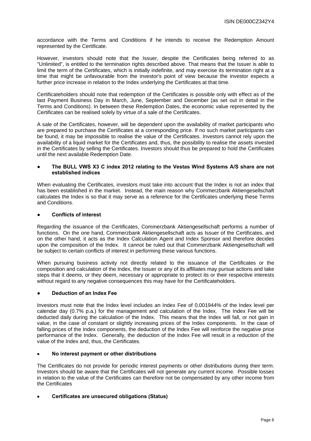accordance with the Terms and Conditions if he intends to receive the Redemption Amount represented by the Certificate.

However, investors should note that the Issuer, despite the Certificates being referred to as "Unlimited", is entitled to the termination rights described above. That means that the Issuer is able to limit the term of the Certificates, which is initially indefinite, and may exercise its termination right at a time that might be unfavourable from the investor's point of view because the investor expects a further price increase in relation to the Index underlying the Certificates at that time.

Certificateholders should note that redemption of the Certificates is possible only with effect as of the last Payment Business Day in March, June, September and December (as set out in detail in the Terms and Conditions). In between these Redemption Dates, the economic value represented by the Certificates can be realised solely by virtue of a sale of the Certificates.

A sale of the Certificates, however, will be dependent upon the availability of market participants who are prepared to purchase the Certificates at a corresponding price. If no such market participants can be found, it may be impossible to realise the value of the Certificates. Investors cannot rely upon the availability of a liquid market for the Certificates and, thus, the possibility to realise the assets invested in the Certificates by selling the Certificates. Investors should thus be prepared to hold the Certificates until the next available Redemption Date.

## **● The BULL VWS X3 C index 2012 relating to the Vestas Wind Systems A/S share are not established indices**

When evaluating the Certificates, investors must take into account that the Index is not an index that has been established in the market. Instead, the main reason why Commerzbank Aktiengesellschaft calculates the Index is so that it may serve as a reference for the Certificates underlying these Terms and Conditions.

## **● Conflicts of interest**

Regarding the issuance of the Certificates, Commerzbank Aktiengesellschaft performs a number of functions. On the one hand, Commerzbank Aktiengesellschaft acts as Issuer of the Certificates, and on the other hand, it acts as the Index Calculation Agent and Index Sponsor and therefore decides upon the composition of the Index. It cannot be ruled out that Commerzbank Aktiengesellschaft will be subject to certain conflicts of interest in performing these various functions.

When pursuing business activity not directly related to the issuance of the Certificates or the composition and calculation of the Index, the Issuer or any of its affiliates may pursue actions and take steps that it deems, or they deem, necessary or appropriate to protect its or their respective interests without regard to any negative consequences this may have for the Certificateholders.

## **● Deduction of an Index Fee**

Investors must note that the Index level includes an Index Fee of 0.001944% of the Index level per calendar day (0.7% p.a.) for the management and calculation of the Index. The Index Fee will be deducted daily during the calculation of the Index. This means that the Index will fall, or not gain in value, in the case of constant or slightly increasing prices of the Index components. In the case of falling prices of the Index components, the deduction of the Index Fee will reinforce the negative price performance of the Index. Generally, the deduction of the Index Fee will result in a reduction of the value of the Index and, thus, the Certificates.

## • **No interest payment or other distributions**

The Certificates do not provide for periodic interest payments or other distributions during their term. Investors should be aware that the Certificates will not generate any current income. Possible losses in relation to the value of the Certificates can therefore not be compensated by any other income from the Certificates

## • **Certificates are unsecured obligations (Status)**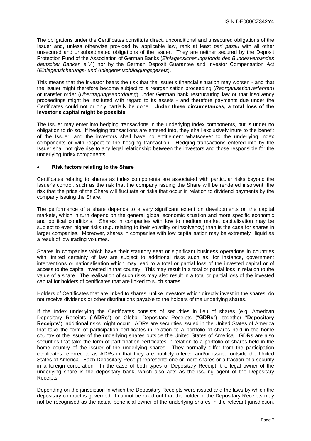The obligations under the Certificates constitute direct, unconditional and unsecured obligations of the Issuer and, unless otherwise provided by applicable law, rank at least *pari passu* with all other unsecured and unsubordinated obligations of the Issuer. They are neither secured by the Deposit Protection Fund of the Association of German Banks (*Einlagensicherungsfonds des Bundesverbandes deutscher Banken e.V.*) nor by the German Deposit Guarantee and Investor Compensation Act (*Einlagensicherungs- und Anlegerentschädigungsgesetz*).

This means that the investor bears the risk that the Issuer's financial situation may worsen - and that the Issuer might therefore become subject to a reorganization proceeding (*Reorganisationverfahren*) or transfer order (*Übertragungsanordnung*) under German bank restructuring law or that insolvency proceedings might be instituted with regard to its assets - and therefore payments due under the Certificates could not or only partially be done. **Under these circumstances, a total loss of the investor's capital might be possible.** 

The Issuer may enter into hedging transactions in the underlying Index components, but is under no obligation to do so. If hedging transactions are entered into, they shall exclusively inure to the benefit of the Issuer, and the investors shall have no entitlement whatsoever to the underlying Index components or with respect to the hedging transaction. Hedging transactions entered into by the Issuer shall not give rise to any legal relationship between the investors and those responsible for the underlying Index components.

## • **Risk factors relating to the Share**

Certificates relating to shares as index components are associated with particular risks beyond the Issuer's control, such as the risk that the company issuing the Share will be rendered insolvent, the risk that the price of the Share will fluctuate or risks that occur in relation to dividend payments by the company issuing the Share.

The performance of a share depends to a very significant extent on developments on the capital markets, which in turn depend on the general global economic situation and more specific economic and political conditions. Shares in companies with low to medium market capitalisation may be subject to even higher risks (e.g. relating to their volatility or insolvency) than is the case for shares in larger companies. Moreover, shares in companies with low capitalisation may be extremely illiquid as a result of low trading volumes.

Shares in companies which have their statutory seat or significant business operations in countries with limited certainty of law are subject to additional risks such as, for instance, government interventions or nationalisation which may lead to a total or partial loss of the invested capital or of access to the capital invested in that country. This may result in a total or partial loss in relation to the value of a share. The realisation of such risks may also result in a total or partial loss of the invested capital for holders of certificates that are linked to such shares.

Holders of Certificates that are linked to shares, unlike investors which directly invest in the shares, do not receive dividends or other distributions payable to the holders of the underlying shares.

If the Index underlying the Certificates consists of securities in lieu of shares (e.g. American Depositary Receipts ("**ADRs**") or Global Depositary Receipts ("**GDRs**"), together "**Depositary Receipts**"), additional risks might occur. ADRs are securities issued in the United States of America that take the form of participation certificates in relation to a portfolio of shares held in the home country of the issuer of the underlying shares outside the United States of America. GDRs are also securities that take the form of participation certificates in relation to a portfolio of shares held in the home country of the issuer of the underlying shares. They normally differ from the participation certificates referred to as ADRs in that they are publicly offered and/or issued outside the United States of America. Each Depositary Receipt represents one or more shares or a fraction of a security in a foreign corporation. In the case of both types of Depositary Receipt, the legal owner of the underlying share is the depositary bank, which also acts as the issuing agent of the Depositary Receipts.

Depending on the jurisdiction in which the Depositary Receipts were issued and the laws by which the depositary contract is governed, it cannot be ruled out that the holder of the Depositary Receipts may not be recognised as the actual beneficial owner of the underlying shares in the relevant jurisdiction.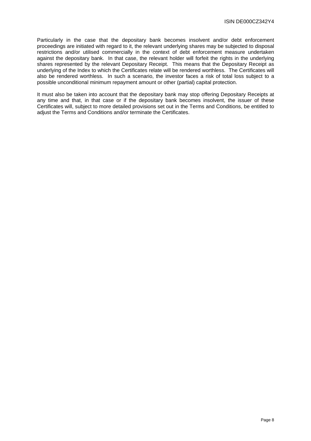Particularly in the case that the depositary bank becomes insolvent and/or debt enforcement proceedings are initiated with regard to it, the relevant underlying shares may be subjected to disposal restrictions and/or utilised commercially in the context of debt enforcement measure undertaken against the depositary bank. In that case, the relevant holder will forfeit the rights in the underlying shares represented by the relevant Depositary Receipt. This means that the Depositary Receipt as underlying of the Index to which the Certificates relate will be rendered worthless. The Certificates will also be rendered worthless. In such a scenario, the investor faces a risk of total loss subject to a possible unconditional minimum repayment amount or other (partial) capital protection.

It must also be taken into account that the depositary bank may stop offering Depositary Receipts at any time and that, in that case or if the depositary bank becomes insolvent, the issuer of these Certificates will, subject to more detailed provisions set out in the Terms and Conditions, be entitled to adjust the Terms and Conditions and/or terminate the Certificates.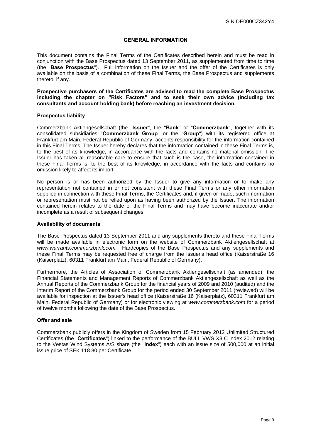#### **GENERAL INFORMATION**

This document contains the Final Terms of the Certificates described herein and must be read in conjunction with the Base Prospectus dated 13 September 2011, as supplemented from time to time (the "**Base Prospectus**"). Full information on the Issuer and the offer of the Certificates is only available on the basis of a combination of these Final Terms, the Base Prospectus and supplements thereto, if any.

**Prospective purchasers of the Certificates are advised to read the complete Base Prospectus including the chapter on "Risk Factors" and to seek their own advice (including tax consultants and account holding bank) before reaching an investment decision.** 

#### **Prospectus liability**

Commerzbank Aktiengesellschaft (the "**Issuer**", the "**Bank**" or "**Commerzbank**", together with its consolidated subsidiaries "**Commerzbank Group**" or the "**Group**") with its registered office at Frankfurt am Main, Federal Republic of Germany, accepts responsibility for the information contained in this Final Terms. The Issuer hereby declares that the information contained in these Final Terms is, to the best of its knowledge, in accordance with the facts and contains no material omission. The Issuer has taken all reasonable care to ensure that such is the case, the information contained in these Final Terms is, to the best of its knowledge, in accordance with the facts and contains no omission likely to affect its import.

No person is or has been authorized by the Issuer to give any information or to make any representation not contained in or not consistent with these Final Terms or any other information supplied in connection with these Final Terms, the Certificates and, if given or made, such information or representation must not be relied upon as having been authorized by the Issuer. The information contained herein relates to the date of the Final Terms and may have become inaccurate and/or incomplete as a result of subsequent changes.

#### **Availability of documents**

The Base Prospectus dated 13 September 2011 and any supplements thereto and these Final Terms will be made available in electronic form on the website of Commerzbank Aktiengesellschaft at *www.warrants.commerzbank.com.* Hardcopies of the Base Prospectus and any supplements and these Final Terms may be requested free of charge from the Issuer's head office (Kaiserstraße 16 (Kaiserplatz), 60311 Frankfurt am Main, Federal Republic of Germany).

Furthermore, the Articles of Association of Commerzbank Aktiengesellschaft (as amended), the Financial Statements and Management Reports of Commerzbank Aktiengesellschaft as well as the Annual Reports of the Commerzbank Group for the financial years of 2009 and 2010 (audited) and the Interim Report of the Commerzbank Group for the period ended 30 September 2011 (reviewed) will be available for inspection at the Issuer's head office (Kaiserstraße 16 (Kaiserplatz), 60311 Frankfurt am Main, Federal Republic of Germany) or for electronic viewing at *www.commerzbank.com* for a period of twelve months following the date of the Base Prospectus.

## **Offer and sale**

Commerzbank publicly offers in the Kingdom of Sweden from 15 February 2012 Unlimited Structured Certificates (the "**Certificates**") linked to the performance of the BULL VWS X3 C index 2012 relating to the Vestas Wind Systems A/S share (the "**Index**") each with an issue size of 500,000 at an initial issue price of SEK 118.80 per Certificate.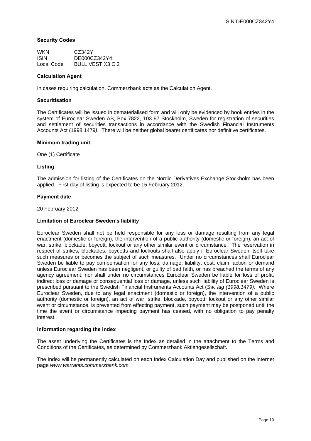## **Security Codes**

| <b>WKN</b>  | CZ342Y           |
|-------------|------------------|
| <b>ISIN</b> | DE000CZ342Y4     |
| Local Code  | BULL VEST X3 C 2 |

## **Calculation Agent**

In cases requiring calculation, Commerzbank acts as the Calculation Agent.

## **Securitisation**

The Certificates will be issued in dematerialised form and will only be evidenced by book entries in the system of Euroclear Sweden AB, Box 7822, 103 97 Stockholm, Sweden for registration of securities and settlement of securities transactions in accordance with the Swedish Financial Instruments Accounts Act (1998:1479*)*. There will be neither global bearer certificates nor definitive certificates.

#### **Minimum trading unit**

One (1) Certificate

#### **Listing**

The admission for listing of the Certificates on the Nordic Derivatives Exchange Stockholm has been applied. First day of listing is expected to be 15 February 2012.

## **Payment date**

20 February 2012

## **Limitation of Euroclear Sweden's liability**

Euroclear Sweden shall not be held responsible for any loss or damage resulting from any legal enactment (domestic or foreign), the intervention of a public authority (domestic or foreign), an act of war, strike, blockade, boycott, lockout or any other similar event or circumstance. The reservation in respect of strikes, blockades, boycotts and lockouts shall also apply if Euroclear Sweden itself take such measures or becomes the subject of such measures. Under no circumstances shall Euroclear Sweden be liable to pay compensation for any loss, damage, liability, cost, claim, action or demand unless Euroclear Sweden has been negligent, or guilty of bad faith, or has breached the terms of any agency agreement, nor shall under no circumstances Euroclear Sweden be liable for loss of profit, indirect loss or damage or consequential loss or damage, unless such liability of Euroclear Sweden is prescribed pursuant to the Swedish Financial Instruments Accounts Act (*Sw. lag (1998:1479)*. Where Euroclear Sweden, due to any legal enactment (domestic or foreign), the intervention of a public authority (domestic or foreign), an act of war, strike, blockade, boycott, lockout or any other similar event or circumstance, is prevented from effecting payment, such payment may be postponed until the time the event or circumstance impeding payment has ceased, with no obligation to pay penalty interest.

## **Information regarding the Index**

The asset underlying the Certificates is the Index as detailed in the attachment to the Terms and Conditions of the Certificates, as determined by Commerzbank Aktiengesellschaft.

The Index will be permanently calculated on each Index Calculation Day and published on the internet page *www.warrants.commerzbank.com.*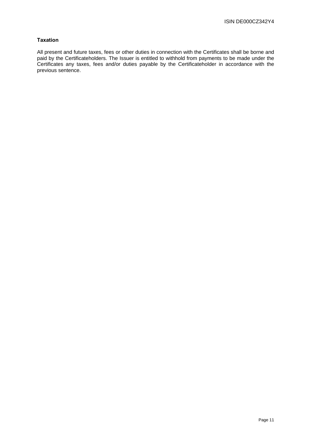## **Taxation**

All present and future taxes, fees or other duties in connection with the Certificates shall be borne and paid by the Certificateholders. The Issuer is entitled to withhold from payments to be made under the Certificates any taxes, fees and/or duties payable by the Certificateholder in accordance with the previous sentence.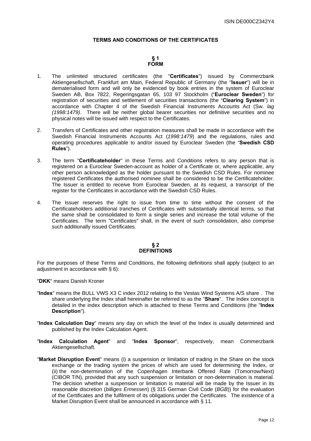## **TERMS AND CONDITIONS OF THE CERTIFICATES**

#### **§ 1 FORM**

- 1. The unlimited structured certificates (the "**Certificates**") issued by Commerzbank Aktiengesellschaft, Frankfurt am Main, Federal Republic of Germany (the "**Issuer**") will be in dematerialised form and will only be evidenced by book entries in the system of Euroclear Sweden AB, Box 7822, Regeringsgatan 65, 103 97 Stockholm ("**Euroclear Sweden**") for registration of securities and settlement of securities transactions (the "**Clearing System**") in accordance with Chapter 4 of the Swedish Financial Instruments Accounts Act (Sw. *lag (1998:1479)*. There will be neither global bearer securities nor definitive securities and no physical notes will be issued with respect to the Certificates.
- 2. Transfers of Certificates and other registration measures shall be made in accordance with the Swedish Financial Instruments Accounts Act (*1998:1479*) and the regulations, rules and operating procedures applicable to and/or issued by Euroclear Sweden (the "**Swedish CSD Rules**").
- 3. The term "**Certificateholder**" in these Terms and Conditions refers to any person that is registered on a Euroclear Sweden-account as holder of a Certificate or, where applicable, any other person acknowledged as the holder pursuant to the Swedish CSD Rules. For nominee registered Certificates the authorised nominee shall be considered to be the Certificateholder. The Issuer is entitled to receive from Euroclear Sweden, at its request, a transcript of the register for the Certificates in accordance with the Swedish CSD Rules.
- 4. The Issuer reserves the right to issue from time to time without the consent of the Certificateholders additional tranches of Certificates with substantially identical terms, so that the same shall be consolidated to form a single series and increase the total volume of the Certificates. The term "Certificates" shall, in the event of such consolidation, also comprise such additionally issued Certificates.

#### **§ 2 DEFINITIONS**

For the purposes of these Terms and Conditions, the following definitions shall apply (subject to an adiustment in accordance with § 6):

"**DKK**" means Danish Kroner

- "**Index**" means the BULL VWS X3 C index 2012 relating to the Vestas Wind Systems A/S share . The share underlying the Index shall hereinafter be referred to as the "**Share**". The Index concept is detailed in the index description which is attached to these Terms and Conditions (the "**Index Description**").
- "**Index Calculation Day**" means any day on which the level of the Index is usually determined and published by the Index Calculation Agent.
- "**Index Calculation Agent**" and "**Index Sponsor**", respectively, mean Commerzbank Aktiengesellschaft.
- "**Market Disruption Event**" means (i) a suspension or limitation of trading in the Share on the stock exchange or the trading system the prices of which are used for determining the Index, or (ii) the non-determination of the Copenhagen Interbank Offered Rate (Tomorrow/Next) (CIBOR T/N), provided that any such suspension or limitation or non-determination is material. The decision whether a suspension or limitation is material will be made by the Issuer in its reasonable discretion (*billiges Ermessen*) (§ 315 German Civil Code (*BGB*)) for the evaluation of the Certificates and the fulfilment of its obligations under the Certificates. The existence of a Market Disruption Event shall be announced in accordance with § 11.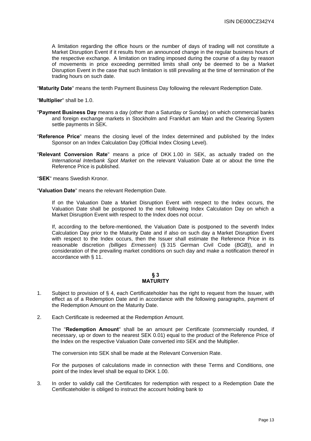A limitation regarding the office hours or the number of days of trading will not constitute a Market Disruption Event if it results from an announced change in the regular business hours of the respective exchange. A limitation on trading imposed during the course of a day by reason of movements in price exceeding permitted limits shall only be deemed to be a Market Disruption Event in the case that such limitation is still prevailing at the time of termination of the trading hours on such date.

"**Maturity Date**" means the tenth Payment Business Day following the relevant Redemption Date.

"**Multiplier**" shall be 1.0.

- "**Payment Business Day** means a day (other than a Saturday or Sunday) on which commercial banks and foreign exchange markets in Stockholm and Frankfurt am Main and the Clearing System settle payments in SEK.
- "**Reference Price**" means the closing level of the Index determined and published by the Index Sponsor on an Index Calculation Day (Official Index Closing Level).
- "**Relevant Conversion Rate**" means a price of DKK 1.00 in SEK, as actually traded on the *International Interbank Spot Market* on the relevant Valuation Date at or about the time the Reference Price is published.

"**SEK**" means Swedish Kronor.

"**Valuation Date**" means the relevant Redemption Date.

 If on the Valuation Date a Market Disruption Event with respect to the Index occurs, the Valuation Date shall be postponed to the next following Index Calculation Day on which a Market Disruption Event with respect to the Index does not occur.

 If, according to the before-mentioned, the Valuation Date is postponed to the seventh Index Calculation Day prior to the Maturity Date and if also on such day a Market Disruption Event with respect to the Index occurs, then the Issuer shall estimate the Reference Price in its reasonable discretion *(billiges Ermessen*) (§ 315 German Civil Code (*BGB*)), and in consideration of the prevailing market conditions on such day and make a notification thereof in accordance with § 11.

## **§ 3 MATURITY**

- 1. Subject to provision of § 4, each Certificateholder has the right to request from the Issuer, with effect as of a Redemption Date and in accordance with the following paragraphs, payment of the Redemption Amount on the Maturity Date.
- 2. Each Certificate is redeemed at the Redemption Amount.

The "**Redemption Amount**" shall be an amount per Certificate (commercially rounded, if necessary, up or down to the nearest SEK 0.01) equal to the product of the Reference Price of the Index on the respective Valuation Date converted into SEK and the Multiplier.

The conversion into SEK shall be made at the Relevant Conversion Rate.

 For the purposes of calculations made in connection with these Terms and Conditions, one point of the Index level shall be equal to DKK 1.00.

3. In order to validly call the Certificates for redemption with respect to a Redemption Date the Certificateholder is obliged to instruct the account holding bank to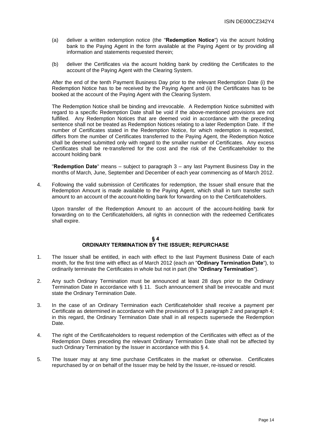- (a) deliver a written redemption notice (the "**Redemption Notice**") via the acount holding bank to the Paying Agent in the form available at the Paying Agent or by providing all information and statements requested therein;
- (b) deliver the Certificates via the acount holding bank by crediting the Certificates to the account of the Paying Agent with the Clearing System.

After the end of the tenth Payment Business Day prior to the relevant Redemption Date (i) the Redemption Notice has to be received by the Paying Agent and (ii) the Certificates has to be booked at the account of the Paying Agent with the Clearing System.

 The Redemption Notice shall be binding and irrevocable. A Redemption Notice submitted with regard to a specific Redemption Date shall be void if the above-mentioned provisions are not fulfilled. Any Redemption Notices that are deemed void in accordance with the preceding sentence shall not be treated as Redemption Notices relating to a later Redemption Date. If the number of Certificates stated in the Redemption Notice, for which redemption is requested, differs from the number of Certificates transferred to the Paying Agent, the Redemption Notice shall be deemed submitted only with regard to the smaller number of Certificates. Any excess Certificates shall be re-transferred for the cost and the risk of the Certificateholder to the account holding bank

 "**Redemption Date**" means – subject to paragraph 3 – any last Payment Business Day in the months of March, June, September and December of each year commencing as of March 2012.

4. Following the valid submission of Certificates for redemption, the Issuer shall ensure that the Redemption Amount is made available to the Paying Agent, which shall in turn transfer such amount to an account of the account-holding bank for forwarding on to the Certificateholders.

 Upon transfer of the Redemption Amount to an account of the account-holding bank for forwarding on to the Certificateholders, all rights in connection with the redeemed Certificates shall expire.

## **§ 4 ORDINARY TERMINATION BY THE ISSUER; REPURCHASE**

- 1. The Issuer shall be entitled, in each with effect to the last Payment Business Date of each month, for the first time with effect as of March 2012 (each an "**Ordinary Termination Date**"), to ordinarily terminate the Certificates in whole but not in part (the "**Ordinary Termination**").
- 2. Any such Ordinary Termination must be announced at least 28 days prior to the Ordinary Termination Date in accordance with § 11. Such announcement shall be irrevocable and must state the Ordinary Termination Date.
- 3. In the case of an Ordinary Termination each Certificateholder shall receive a payment per Certificate as determined in accordance with the provisions of § 3 paragraph 2 and paragraph 4; in this regard, the Ordinary Termination Date shall in all respects supersede the Redemption Date.
- 4. The right of the Certificateholders to request redemption of the Certificates with effect as of the Redemption Dates preceding the relevant Ordinary Termination Date shall not be affected by such Ordinary Termination by the Issuer in accordance with this § 4.
- 5. The Issuer may at any time purchase Certificates in the market or otherwise. Certificates repurchased by or on behalf of the Issuer may be held by the Issuer, re-issued or resold.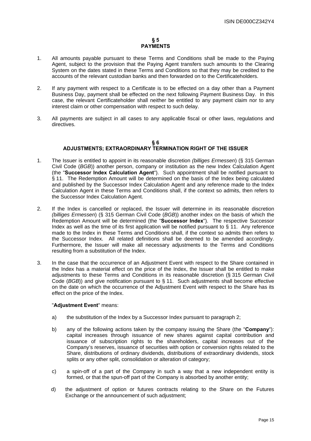## **§ 5 PAYMENTS**

- 1. All amounts payable pursuant to these Terms and Conditions shall be made to the Paying Agent, subject to the provision that the Paying Agent transfers such amounts to the Clearing System on the dates stated in these Terms and Conditions so that they may be credited to the accounts of the relevant custodian banks and then forwarded on to the Certificateholders.
- 2. If any payment with respect to a Certificate is to be effected on a day other than a Payment Business Day, payment shall be effected on the next following Payment Business Day. In this case, the relevant Certificateholder shall neither be entitled to any payment claim nor to any interest claim or other compensation with respect to such delay.
- 3. All payments are subject in all cases to any applicable fiscal or other laws, regulations and directives.

#### **§ 6 ADJUSTMENTS; EXTRAORDINARY TERMINATION RIGHT OF THE ISSUER**

- 1. The Issuer is entitled to appoint in its reasonable discretion *(billiges Ermessen*) (§ 315 German Civil Code (*BGB*)) another person, company or institution as the new Index Calculation Agent (the "**Successor Index Calculation Agent**"). Such appointment shall be notified pursuant to § 11. The Redemption Amount will be determined on the basis of the Index being calculated and published by the Successor Index Calculation Agent and any reference made to the Index Calculation Agent in these Terms and Conditions shall, if the context so admits, then refers to the Successor Index Calculation Agent.
- 2. If the Index is cancelled or replaced, the Issuer will determine in its reasonable discretion *(billiges Ermessen*) (§ 315 German Civil Code (*BGB*)) another index on the basis of which the Redemption Amount will be determined (the "**Successor Index**"). The respective Successor Index as well as the time of its first application will be notified pursuant to  $\frac{1}{2}$  11. Any reference made to the Index in these Terms and Conditions shall, if the context so admits then refers to the Successor Index. All related definitions shall be deemed to be amended accordingly. Furthermore, the Issuer will make all necessary adjustments to the Terms and Conditions resulting from a substitution of the Index.
- 3. In the case that the occurrence of an Adjustment Event with respect to the Share contained in the Index has a material effect on the price of the Index, the Issuer shall be entitled to make adjustments to these Terms and Conditions in its reasonable discretion (§ 315 German Civil Code (*BGB*)) and give notification pursuant to § 11. Such adjustments shall become effective on the date on which the occurrence of the Adjustment Event with respect to the Share has its effect on the price of the Index.

## "**Adjustment Event**" means:

- a) the substitution of the Index by a Successor Index pursuant to paragraph 2;
- b) any of the following actions taken by the company issuing the Share (the "**Company**"): capital increases through issuance of new shares against capital contribution and issuance of subscription rights to the shareholders, capital increases out of the Company's reserves, issuance of securities with option or conversion rights related to the Share, distributions of ordinary dividends, distributions of extraordinary dividends, stock splits or any other split, consolidation or alteration of category;
- c) a spin-off of a part of the Company in such a way that a new independent entity is formed, or that the spun-off part of the Company is absorbed by another entity;
- d) the adjustment of option or futures contracts relating to the Share on the Futures Exchange or the announcement of such adjustment;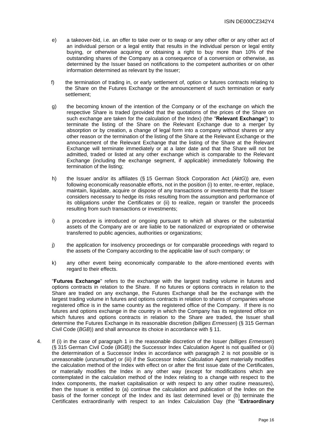- e) a takeover-bid, i.e. an offer to take over or to swap or any other offer or any other act of an individual person or a legal entity that results in the individual person or legal entity buying, or otherwise acquiring or obtaining a right to buy more than 10% of the outstanding shares of the Company as a consequence of a conversion or otherwise, as determined by the Issuer based on notifications to the competent authorities or on other information determined as relevant by the Issuer;
- f) the termination of trading in, or early settlement of, option or futures contracts relating to the Share on the Futures Exchange or the announcement of such termination or early settlement;
- g) the becoming known of the intention of the Company or of the exchange on which the respective Share is traded (provided that the quotations of the prices of the Share on such exchange are taken for the calculation of the Index) (the "**Relevant Exchange**") to terminate the listing of the Share on the Relevant Exchange due to a merger by absorption or by creation, a change of legal form into a company without shares or any other reason or the termination of the listing of the Share at the Relevant Exchange or the announcement of the Relevant Exchange that the listing of the Share at the Relevant Exchange will terminate immediately or at a later date and that the Share will not be admitted, traded or listed at any other exchange which is comparable to the Relevant Exchange (including the exchange segment, if applicable) immediately following the termination of the listing;
- h) the Issuer and/or its affiliates (§ 15 German Stock Corporation Act (*AktG*)) are, even following economically reasonable efforts, not in the position (i) to enter, re-enter, replace, maintain, liquidate, acquire or dispose of any transactions or investments that the Issuer considers necessary to hedge its risks resulting from the assumption and performance of its obligations under the Certificates or (ii) to realize, regain or transfer the proceeds resulting from such transactions or investments;
- i) a procedure is introduced or ongoing pursuant to which all shares or the substantial assets of the Company are or are liable to be nationalized or expropriated or otherwise transferred to public agencies, authorities or organizations;
- j) the application for insolvency proceedings or for comparable proceedings with regard to the assets of the Company according to the applicable law of such company; or
- k) any other event being economically comparable to the afore-mentioned events with regard to their effects.

"**Futures Exchange**" refers to the exchange with the largest trading volume in futures and options contracts in relation to the Share. If no futures or options contracts in relation to the Share are traded on any exchange, the Futures Exchange shall be the exchange with the largest trading volume in futures and options contracts in relation to shares of companies whose registered office is in the same country as the registered office of the Company. If there is no futures and options exchange in the country in which the Company has its registered office on which futures and options contracts in relation to the Share are traded, the Issuer shall determine the Futures Exchange in its reasonable discretion *(billiges Ermessen*) (§ 315 German Civil Code (*BGB*)) and shall announce its choice in accordance with § 11.

4. If (i) in the case of paragraph 1 in the reasonable discretion of the Issuer *(billiges Ermessen*) (§ 315 German Civil Code (*BGB*)) the Successor Index Calculation Agent is not qualified or (ii) the determination of a Successor Index in accordance with paragraph 2 is not possible or is unreasonable (*unzumutbar*) or (iii) if the Successor Index Calculation Agent materially modifies the calculation method of the Index with effect on or after the first issue date of the Certificates, or materially modifies the Index in any other way (except for modifications which are contemplated in the calculation method of the Index relating to a change with respect to the Index components, the market capitalisation or with respect to any other routine measures), then the Issuer is entitled to (a) continue the calculation and publication of the Index on the basis of the former concept of the Index and its last determined level or (b) terminate the Certificates extraordinarily with respect to an Index Calculation Day (the "**Extraordinary**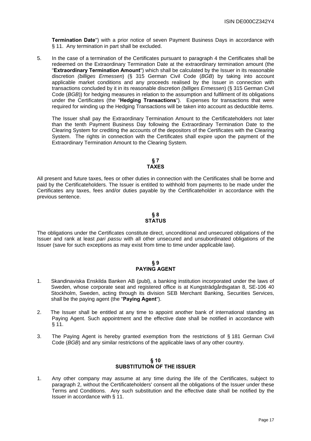**Termination Date**") with a prior notice of seven Payment Business Days in accordance with § 11. Any termination in part shall be excluded.

5. In the case of a termination of the Certificates pursuant to paragraph 4 the Certificates shall be redeemed on the Extraordinary Termination Date at the extraordinary termination amount (the "**Extraordinary Termination Amount**") which shall be calculated by the Issuer in its reasonable discretion *(billiges Ermessen*) (§ 315 German Civil Code (*BGB*) by taking into account applicable market conditions and any proceeds realised by the Issuer in connection with transactions concluded by it in its reasonable discretion *(billiges Ermessen*) (§ 315 German Civil Code (*BGB*)) for hedging measures in relation to the assumption and fulfilment of its obligations under the Certificates (the "**Hedging Transactions**"). Expenses for transactions that were required for winding up the Hedging Transactions will be taken into account as deductible items.

The Issuer shall pay the Extraordinary Termination Amount to the Certificateholders not later than the tenth Payment Business Day following the Extraordinary Termination Date to the Clearing System for crediting the accounts of the depositors of the Certificates with the Clearing System. The rights in connection with the Certificates shall expire upon the payment of the Extraordinary Termination Amount to the Clearing System.

## **§ 7 TAXES**

All present and future taxes, fees or other duties in connection with the Certificates shall be borne and paid by the Certificateholders. The Issuer is entitled to withhold from payments to be made under the Certificates any taxes, fees and/or duties payable by the Certificateholder in accordance with the previous sentence.

## **§ 8 STATUS**

The obligations under the Certificates constitute direct, unconditional and unsecured obligations of the Issuer and rank at least *pari passu* with all other unsecured and unsubordinated obligations of the Issuer (save for such exceptions as may exist from time to time under applicable law).

## **§ 9 PAYING AGENT**

- 1. Skandinaviska Enskilda Banken AB (publ), a banking institution incorporated under the laws of Sweden, whose corporate seat and registered office is at Kungsträdgårdsgatan 8, SE-106 40 Stockholm, Sweden, acting through its division SEB Merchant Banking, Securities Services, shall be the paying agent (the "**Paying Agent**").
- 2. The Issuer shall be entitled at any time to appoint another bank of international standing as Paying Agent. Such appointment and the effective date shall be notified in accordance with § 11.
- 3. The Paying Agent is hereby granted exemption from the restrictions of § 181 German Civil Code (*BGB*) and any similar restrictions of the applicable laws of any other country.

## **§ 10 SUBSTITUTION OF THE ISSUER**

1. Any other company may assume at any time during the life of the Certificates, subject to paragraph 2, without the Certificateholders' consent all the obligations of the Issuer under these Terms and Conditions. Any such substitution and the effective date shall be notified by the Issuer in accordance with § 11.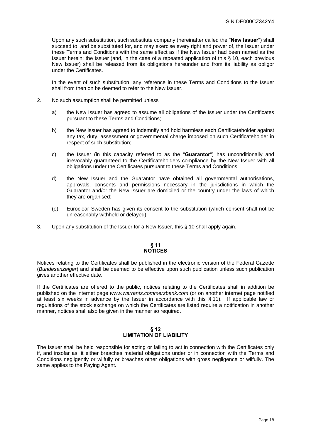Upon any such substitution, such substitute company (hereinafter called the "**New Issuer**") shall succeed to, and be substituted for, and may exercise every right and power of, the Issuer under these Terms and Conditions with the same effect as if the New Issuer had been named as the Issuer herein; the Issuer (and, in the case of a repeated application of this § 10, each previous New Issuer) shall be released from its obligations hereunder and from its liability as obligor under the Certificates.

 In the event of such substitution, any reference in these Terms and Conditions to the Issuer shall from then on be deemed to refer to the New Issuer.

- 2. No such assumption shall be permitted unless
	- a) the New Issuer has agreed to assume all obligations of the Issuer under the Certificates pursuant to these Terms and Conditions;
	- b) the New Issuer has agreed to indemnify and hold harmless each Certificateholder against any tax, duty, assessment or governmental charge imposed on such Certificateholder in respect of such substitution;
	- c) the Issuer (in this capacity referred to as the "**Guarantor**") has unconditionally and irrevocably guaranteed to the Certificateholders compliance by the New Issuer with all obligations under the Certificates pursuant to these Terms and Conditions;
	- d) the New Issuer and the Guarantor have obtained all governmental authorisations, approvals, consents and permissions necessary in the jurisdictions in which the Guarantor and/or the New Issuer are domiciled or the country under the laws of which they are organised;
	- (e) Euroclear Sweden has given its consent to the substitution (which consent shall not be unreasonably withheld or delayed).
- 3. Upon any substitution of the Issuer for a New Issuer, this § 10 shall apply again.

## **§ 11 NOTICES**

Notices relating to the Certificates shall be published in the electronic version of the Federal Gazette (*Bundesanzeiger*) and shall be deemed to be effective upon such publication unless such publication gives another effective date.

If the Certificates are offered to the public, notices relating to the Certificates shall in addition be published on the internet page *www.warrants.commerzbank.com* (or on another internet page notified at least six weeks in advance by the Issuer in accordance with this § 11). If applicable law or regulations of the stock exchange on which the Certificates are listed require a notification in another manner, notices shall also be given in the manner so required.

## **§ 12 LIMITATION OF LIABILITY**

The Issuer shall be held responsible for acting or failing to act in connection with the Certificates only if, and insofar as, it either breaches material obligations under or in connection with the Terms and Conditions negligently or wilfully or breaches other obligations with gross negligence or wilfully. The same applies to the Paying Agent.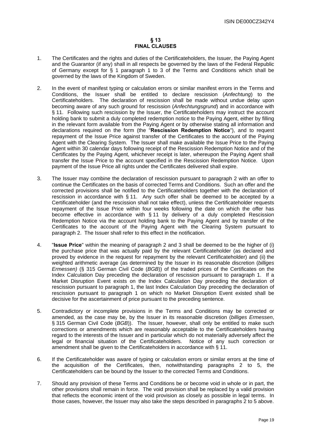## **§ 13 FINAL CLAUSES**

- 1. The Certificates and the rights and duties of the Certificateholders, the Issuer, the Paying Agent and the Guarantor (if any) shall in all respects be governed by the laws of the Federal Republic of Germany except for § 1 paragraph 1 to 3 of the Terms and Conditions which shall be governed by the laws of the Kingdom of Sweden.
- 2. In the event of manifest typing or calculation errors or similar manifest errors in the Terms and Conditions, the Issuer shall be entitled to declare rescission (Anfechtung) to the Certificateholders. The declaration of rescission shall be made without undue delay upon becoming aware of any such ground for rescission (*Anfechtungsgrund*) and in accordance with § 11. Following such rescission by the Issuer, the Certificateholders may instruct the account holding bank to submit a duly completed redemption notice to the Paying Agent, either by filling in the relevant form available from the Paying Agent or by otherwise stating all information and declarations required on the form (the "**Rescission Redemption Notice**"), and to request repayment of the Issue Price against transfer of the Certificates to the account of the Paying Agent with the Clearing System. The Issuer shall make available the Issue Price to the Paying Agent within 30 calendar days following receipt of the Rescission Redemption Notice and of the Certificates by the Paying Agent, whichever receipt is later, whereupon the Paying Agent shall transfer the Issue Price to the account specified in the Rescission Redemption Notice. Upon payment of the Issue Price all rights under the Certificates delivered shall expire.
- 3. The Issuer may combine the declaration of rescission pursuant to paragraph 2 with an offer to continue the Certificates on the basis of corrected Terms and Conditions. Such an offer and the corrected provisions shall be notified to the Certificateholders together with the declaration of rescission in accordance with § 11. Any such offer shall be deemed to be accepted by a Certificateholder (and the rescission shall not take effect), unless the Certificateholder requests repayment of the Issue Price within four weeks following the date on which the offer has become effective in accordance with § 11 by delivery of a duly completed Rescission Redemption Notice via the account holding bank to the Paying Agent and by transfer of the Certificates to the account of the Paying Agent with the Clearing System pursuant to paragraph 2. The Issuer shall refer to this effect in the notification.
- 4. "**Issue Price**" within the meaning of paragraph 2 and 3 shall be deemed to be the higher of (i) the purchase price that was actually paid by the relevant Certificateholder (as declared and proved by evidence in the request for repayment by the relevant Certificateholder) and (ii) the weighted arithmetic average (as determined by the Issuer in its reasonable discretion (*billiges Ermessen)* (§ 315 German Civil Code (*BGB*)) of the traded prices of the Certificates on the Index Calculation Day preceding the declaration of rescission pursuant to paragraph 1. If a Market Disruption Event exists on the Index Calculation Day preceding the declaration of rescission pursuant to paragraph 1, the last Index Calculation Day preceding the declaration of rescission pursuant to paragraph 1 on which no Market Disruption Event existed shall be decisive for the ascertainment of price pursuant to the preceding sentence.
- 5. Contradictory or incomplete provisions in the Terms and Conditions may be corrected or amended, as the case may be, by the Issuer in its reasonable discretion (*billiges Ermessen*, § 315 German Civil Code (BGB)). The Issuer, however, shall only be entitled to make such corrections or amendments which are reasonably acceptable to the Certificateholders having regard to the interests of the Issuer and in particular which do not materially adversely affect the legal or financial situation of the Certificateholders. Notice of any such correction or amendment shall be given to the Certificateholders in accordance with § 11.
- 6. If the Certificateholder was aware of typing or calculation errors or similar errors at the time of the acquisition of the Certificates, then, notwithstanding paragraphs 2 to 5, the Certificateholders can be bound by the Issuer to the corrected Terms and Conditions.
- 7. Should any provision of these Terms and Conditions be or become void in whole or in part, the other provisions shall remain in force. The void provision shall be replaced by a valid provision that reflects the economic intent of the void provision as closely as possible in legal terms. In those cases, however, the Issuer may also take the steps described in paragraphs 2 to 5 above.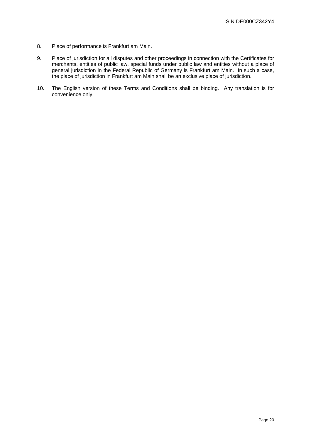- 8. Place of performance is Frankfurt am Main.
- 9. Place of jurisdiction for all disputes and other proceedings in connection with the Certificates for merchants, entities of public law, special funds under public law and entities without a place of general jurisdiction in the Federal Republic of Germany is Frankfurt am Main. In such a case, the place of jurisdiction in Frankfurt am Main shall be an exclusive place of jurisdiction.
- 10. The English version of these Terms and Conditions shall be binding. Any translation is for convenience only.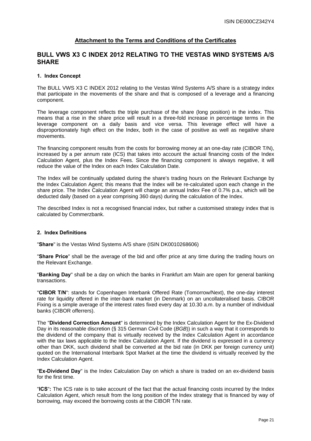## **Attachment to the Terms and Conditions of the Certificates**

## **BULL VWS X3 C INDEX 2012 RELATING TO THE VESTAS WIND SYSTEMS A/S SHARE**

## **1. Index Concept**

The BULL VWS X3 C INDEX 2012 relating to the Vestas Wind Systems A/S share is a strategy index that participate in the movements of the share and that is composed of a leverage and a financing component.

The leverage component reflects the triple purchase of the share (long position) in the index. This means that a rise in the share price will result in a three-fold increase in percentage terms in the leverage component on a daily basis and vice versa. This leverage effect will have a disproportionately high effect on the Index, both in the case of positive as well as negative share movements.

The financing component results from the costs for borrowing money at an one-day rate (CIBOR T/N), increased by a per annum rate (ICS) that takes into account the actual financing costs of the Index Calculation Agent, plus the Index Fees. Since the financing component is always negative, it will reduce the value of the Index on each Index Calculation Date.

The Index will be continually updated during the share's trading hours on the Relevant Exchange by the Index Calculation Agent; this means that the Index will be re-calculated upon each change in the share price. The Index Calculation Agent will charge an annual Index Fee of 0.7% p.a., which will be deducted daily (based on a year comprising 360 days) during the calculation of the Index.

The described Index is not a recognised financial index, but rather a customised strategy index that is calculated by Commerzbank.

## **2. Index Definitions**

"**Share**" is the Vestas Wind Systems A/S share (ISIN DK0010268606)

"**Share Price**" shall be the average of the bid and offer price at any time during the trading hours on the Relevant Exchange.

"**Banking Day**" shall be a day on which the banks in Frankfurt am Main are open for general banking transactions.

"**CIBOR T/N**": stands for Copenhagen Interbank Offered Rate (Tomorrow/Next), the one-day interest rate for liquidity offered in the inter-bank market (in Denmark) on an uncollateralised basis. CIBOR Fixing is a simple average of the interest rates fixed every day at 10.30 a.m. by a number of individual banks (CIBOR offerrers).

The "**Dividend Correction Amount**" is determined by the Index Calculation Agent for the Ex-Dividend Day in its reasonable discretion (§ 315 German Civil Code (*BGB*)) in such a way that it corresponds to the dividend of the company that is virtually received by the Index Calculation Agent in accordance with the tax laws applicable to the Index Calculation Agent. If the dividend is expressed in a currency other than DKK, such dividend shall be converted at the bid rate (in DKK per foreign currency unit) quoted on the International Interbank Spot Market at the time the dividend is virtually received by the Index Calculation Agent.

"**Ex-Dividend Day**" is the Index Calculation Day on which a share is traded on an ex-dividend basis for the first time.

"**ICS**"**:** The ICS rate is to take account of the fact that the actual financing costs incurred by the Index Calculation Agent, which result from the long position of the Index strategy that is financed by way of borrowing, may exceed the borrowing costs at the CIBOR T/N rate.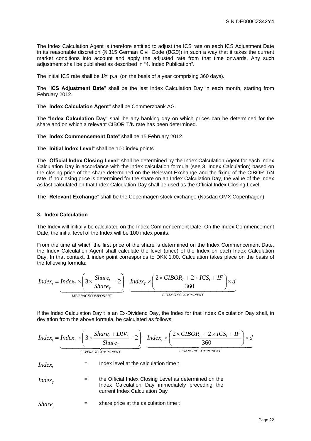The Index Calculation Agent is therefore entitled to adjust the ICS rate on each ICS Adjustment Date in its reasonable discretion (§ 315 German Civil Code (*BGB*)) in such a way that it takes the current market conditions into account and apply the adjusted rate from that time onwards. Any such adjustment shall be published as described in "4. Index Publication".

The initial ICS rate shall be 1% p.a. (on the basis of a year comprising 360 days).

The "**ICS Adjustment Date**" shall be the last Index Calculation Day in each month, starting from February 2012.

The "**Index Calculation Agent**" shall be Commerzbank AG.

The "**Index Calculation Day**" shall be any banking day on which prices can be determined for the share and on which a relevant CIBOR T/N rate has been determined.

The "**Index Commencement Date**" shall be 15 February 2012.

The "**Initial Index Level**" shall be 100 index points.

The "**Official Index Closing Level**" shall be determined by the Index Calculation Agent for each Index Calculation Day in accordance with the index calculation formula (see 3. Index Calculation) based on the closing price of the share determined on the Relevant Exchange and the fixing of the CIBOR T/N rate. If no closing price is determined for the share on an Index Calculation Day, the value of the Index as last calculated on that Index Calculation Day shall be used as the Official Index Closing Level.

The "**Relevant Exchange**" shall be the Copenhagen stock exchange (Nasdaq OMX Copenhagen).

## **3. Index Calculation**

The Index will initially be calculated on the Index Commencement Date. On the Index Commencement Date, the initial level of the Index will be 100 index points.

From the time at which the first price of the share is determined on the Index Commencement Date, the Index Calculation Agent shall calculate the level (price) of the Index on each Index Calculation Day. In that context, 1 index point corresponds to DKK 1.00. Calculation takes place on the basis of the following formula:

$$
Index_{t} = Index_{T} \times \left(3 \times \frac{Share_{t}}{Share_{T}} - 2\right) - Index_{T} \times \left(\frac{2 \times CIBOR_{T} + 2 \times ICS_{t} + IF}{360}\right) \times d
$$
  
LEVERAGECOMPONENT

If the Index Calculation Day t is an Ex-Dividend Day, the Index for that Index Calculation Day shall, in deviation from the above formula, be calculated as follows:

| Index <sub>r</sub> = Index <sub>r</sub> × $\left(3 \times \frac{Share_t + DIV_t}{Share_r} - 2\right)$                                                    | Index <sub>r</sub> × $\left(\frac{2 \times CIBOR_r + 2 \times ICS_t + IF}{360}\right) × d$ |
|----------------------------------------------------------------------------------------------------------------------------------------------------------|--------------------------------------------------------------------------------------------|
| Index <sub>t</sub> = Index level at the calculation time t                                                                                               |                                                                                            |
| Index <sub>r</sub> = the Official Index Closing Level as determined on the Index Calculation Day immediately preceding the current Index Calculation Day |                                                                                            |
| Share <sub>t</sub> = share price at the calculation time t                                                                                               |                                                                                            |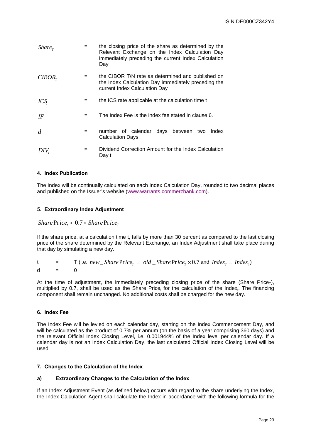| Share <sub>T</sub> | $=$ | the closing price of the share as determined by the<br>Relevant Exchange on the Index Calculation Day<br>immediately preceding the current Index Calculation<br>Dav |
|--------------------|-----|---------------------------------------------------------------------------------------------------------------------------------------------------------------------|
| $CIBOR_r$          | $=$ | the CIBOR T/N rate as determined and published on<br>the Index Calculation Day immediately preceding the<br>current Index Calculation Day                           |
| ICS <sub>r</sub>   | $=$ | the ICS rate applicable at the calculation time t                                                                                                                   |
| IF                 | $=$ | The Index Fee is the index fee stated in clause 6.                                                                                                                  |
| d                  | $=$ | number of calendar days between two<br>Index<br><b>Calculation Days</b>                                                                                             |
| $DIV_{t}$          | =   | Dividend Correction Amount for the Index Calculation<br>Day t                                                                                                       |

## **4. Index Publication**

The Index will be continually calculated on each Index Calculation Day, rounded to two decimal places and published on the Issuer's website (www.warrants.commerzbank.com).

## **5. Extraordinary Index Adjustment**

*Share*  $Price \leq 0.7 \times \text{Share}$  $Price_{\tau}$ 

If the share price, at a calculation time t, falls by more than 30 percent as compared to the last closing price of the share determined by the Relevant Exchange, an Index Adjustment shall take place during that day by simulating a new day.

 $t = T$  (i.e. *new* \_ *Share*  $Price<sub>T</sub> = old\_SharePrice<sub>T</sub> × 0.7$  and  $Index<sub>T</sub> = Index$ .) d = 0

At the time of adjustment, the immediately preceding closing price of the share (Share Price<sub>T</sub>), multiplied by 0.7, shall be used as the Share Price, for the calculation of the Indext. The financing component shall remain unchanged. No additional costs shall be charged for the new day.

## **6. Index Fee**

The Index Fee will be levied on each calendar day, starting on the Index Commencement Day, and will be calculated as the product of 0.7% per annum (on the basis of a year comprising 360 days) and the relevant Official Index Closing Level, i.e. 0.001944% of the Index level per calendar day. If a calendar day is not an Index Calculation Day, the last calculated Official Index Closing Level will be used.

## **7. Changes to the Calculation of the Index**

## **a) Extraordinary Changes to the Calculation of the Index**

If an Index Adjustment Event (as defined below) occurs with regard to the share underlying the Index, the Index Calculation Agent shall calculate the Index in accordance with the following formula for the